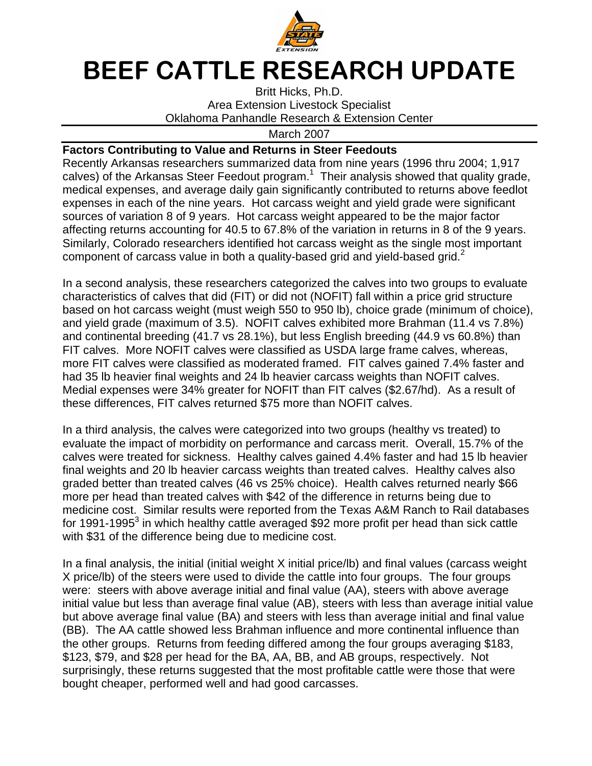

## BEEF CATTLE RESEARCH UPDATE

Britt Hicks, Ph.D. Area Extension Livestock Specialist Oklahoma Panhandle Research & Extension Center

March 2007

## **Factors Contributing to Value and Returns in Steer Feedouts**

Recently Arkansas researchers summarized data from nine years (1996 thru 2004; 1,917 calves) of the Arkansas Steer Feedout program.<sup>1</sup> Their analysis showed that quality grade, medical expenses, and average daily gain significantly contributed to returns above feedlot expenses in each of the nine years. Hot carcass weight and yield grade were significant sources of variation 8 of 9 years. Hot carcass weight appeared to be the major factor affecting returns accounting for 40.5 to 67.8% of the variation in returns in 8 of the 9 years. Similarly, Colorado researchers identified hot carcass weight as the single most important component of carcass value in both a quality-based grid and yield-based grid. $2$ 

In a second analysis, these researchers categorized the calves into two groups to evaluate characteristics of calves that did (FIT) or did not (NOFIT) fall within a price grid structure based on hot carcass weight (must weigh 550 to 950 lb), choice grade (minimum of choice), and yield grade (maximum of 3.5). NOFIT calves exhibited more Brahman (11.4 vs 7.8%) and continental breeding (41.7 vs 28.1%), but less English breeding (44.9 vs 60.8%) than FIT calves. More NOFIT calves were classified as USDA large frame calves, whereas, more FIT calves were classified as moderated framed. FIT calves gained 7.4% faster and had 35 lb heavier final weights and 24 lb heavier carcass weights than NOFIT calves. Medial expenses were 34% greater for NOFIT than FIT calves (\$2.67/hd). As a result of these differences, FIT calves returned \$75 more than NOFIT calves.

In a third analysis, the calves were categorized into two groups (healthy vs treated) to evaluate the impact of morbidity on performance and carcass merit. Overall, 15.7% of the calves were treated for sickness. Healthy calves gained 4.4% faster and had 15 lb heavier final weights and 20 lb heavier carcass weights than treated calves. Healthy calves also graded better than treated calves (46 vs 25% choice). Health calves returned nearly \$66 more per head than treated calves with \$42 of the difference in returns being due to medicine cost. Similar results were reported from the Texas A&M Ranch to Rail databases for 1991-1995<sup>3</sup> in which healthy cattle averaged \$92 more profit per head than sick cattle with \$31 of the difference being due to medicine cost.

In a final analysis, the initial (initial weight X initial price/lb) and final values (carcass weight X price/lb) of the steers were used to divide the cattle into four groups. The four groups were: steers with above average initial and final value (AA), steers with above average initial value but less than average final value (AB), steers with less than average initial value but above average final value (BA) and steers with less than average initial and final value (BB). The AA cattle showed less Brahman influence and more continental influence than the other groups. Returns from feeding differed among the four groups averaging \$183, \$123, \$79, and \$28 per head for the BA, AA, BB, and AB groups, respectively. Not surprisingly, these returns suggested that the most profitable cattle were those that were bought cheaper, performed well and had good carcasses.